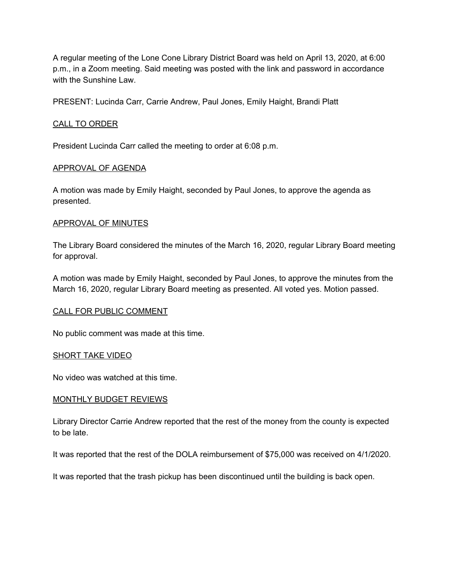A regular meeting of the Lone Cone Library District Board was held on April 13, 2020, at 6:00 p.m., in a Zoom meeting. Said meeting was posted with the link and password in accordance with the Sunshine Law.

PRESENT: Lucinda Carr, Carrie Andrew, Paul Jones, Emily Haight, Brandi Platt

## CALL TO ORDER

President Lucinda Carr called the meeting to order at 6:08 p.m.

## APPROVAL OF AGENDA

A motion was made by Emily Haight, seconded by Paul Jones, to approve the agenda as presented.

## APPROVAL OF MINUTES

The Library Board considered the minutes of the March 16, 2020, regular Library Board meeting for approval.

A motion was made by Emily Haight, seconded by Paul Jones, to approve the minutes from the March 16, 2020, regular Library Board meeting as presented. All voted yes. Motion passed.

#### CALL FOR PUBLIC COMMENT

No public comment was made at this time.

#### SHORT TAKE VIDEO

No video was watched at this time.

#### MONTHLY BUDGET REVIEWS

Library Director Carrie Andrew reported that the rest of the money from the county is expected to be late.

It was reported that the rest of the DOLA reimbursement of \$75,000 was received on 4/1/2020.

It was reported that the trash pickup has been discontinued until the building is back open.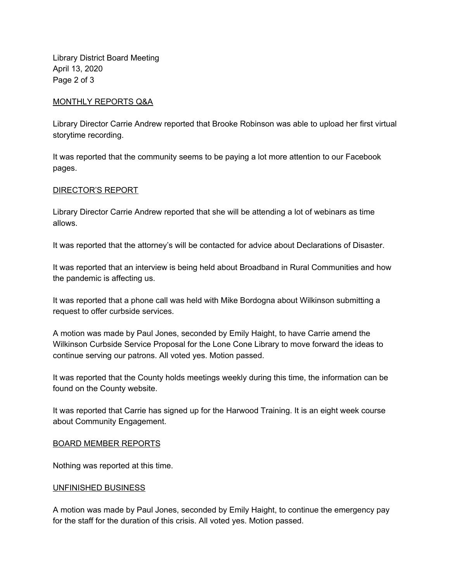Library District Board Meeting April 13, 2020 Page 2 of 3

## MONTHLY REPORTS Q&A

Library Director Carrie Andrew reported that Brooke Robinson was able to upload her first virtual storytime recording.

It was reported that the community seems to be paying a lot more attention to our Facebook pages.

## DIRECTOR'S REPORT

Library Director Carrie Andrew reported that she will be attending a lot of webinars as time allows.

It was reported that the attorney's will be contacted for advice about Declarations of Disaster.

It was reported that an interview is being held about Broadband in Rural Communities and how the pandemic is affecting us.

It was reported that a phone call was held with Mike Bordogna about Wilkinson submitting a request to offer curbside services.

A motion was made by Paul Jones, seconded by Emily Haight, to have Carrie amend the Wilkinson Curbside Service Proposal for the Lone Cone Library to move forward the ideas to continue serving our patrons. All voted yes. Motion passed.

It was reported that the County holds meetings weekly during this time, the information can be found on the County website.

It was reported that Carrie has signed up for the Harwood Training. It is an eight week course about Community Engagement.

#### BOARD MEMBER REPORTS

Nothing was reported at this time.

#### UNFINISHED BUSINESS

A motion was made by Paul Jones, seconded by Emily Haight, to continue the emergency pay for the staff for the duration of this crisis. All voted yes. Motion passed.